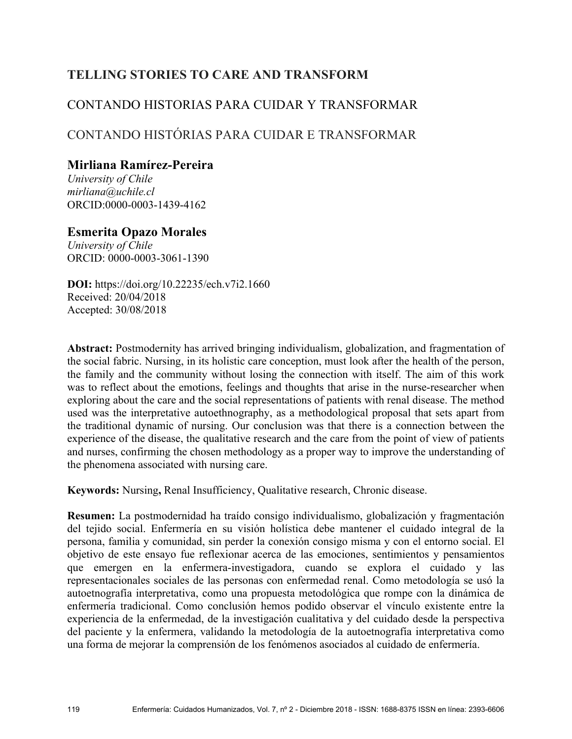# **TELLING STORIES TO CARE AND TRANSFORM**

# CONTANDO HISTORIAS PARA CUIDAR Y TRANSFORMAR

# CONTANDO HISTÓRIAS PARA CUIDAR E TRANSFORMAR

## **Mirliana Ramírez-Pereira**

*University of Chile mirliana@uchile.cl* ORCID:0000-0003-1439-4162

### **Esmerita Opazo Morales**

*University of Chile* ORCID: 0000-0003-3061-1390

**DOI:** https://doi.org/10.22235/ech.v7i2.1660 Received: 20/04/2018 Accepted: 30/08/2018

**Abstract:** Postmodernity has arrived bringing individualism, globalization, and fragmentation of the social fabric. Nursing, in its holistic care conception, must look after the health of the person, the family and the community without losing the connection with itself. The aim of this work was to reflect about the emotions, feelings and thoughts that arise in the nurse-researcher when exploring about the care and the social representations of patients with renal disease. The method used was the interpretative autoethnography, as a methodological proposal that sets apart from the traditional dynamic of nursing. Our conclusion was that there is a connection between the experience of the disease, the qualitative research and the care from the point of view of patients and nurses, confirming the chosen methodology as a proper way to improve the understanding of the phenomena associated with nursing care.

**Keywords:** Nursing**,** Renal Insufficiency, Qualitative research, Chronic disease.

**Resumen:** La postmodernidad ha traído consigo individualismo, globalización y fragmentación del tejido social. Enfermería en su visión holística debe mantener el cuidado integral de la persona, familia y comunidad, sin perder la conexión consigo misma y con el entorno social. El objetivo de este ensayo fue reflexionar acerca de las emociones, sentimientos y pensamientos que emergen en la enfermera-investigadora, cuando se explora el cuidado y las representacionales sociales de las personas con enfermedad renal. Como metodología se usó la autoetnografía interpretativa, como una propuesta metodológica que rompe con la dinámica de enfermería tradicional. Como conclusión hemos podido observar el vínculo existente entre la experiencia de la enfermedad, de la investigación cualitativa y del cuidado desde la perspectiva del paciente y la enfermera, validando la metodología de la autoetnografía interpretativa como una forma de mejorar la comprensión de los fenómenos asociados al cuidado de enfermería.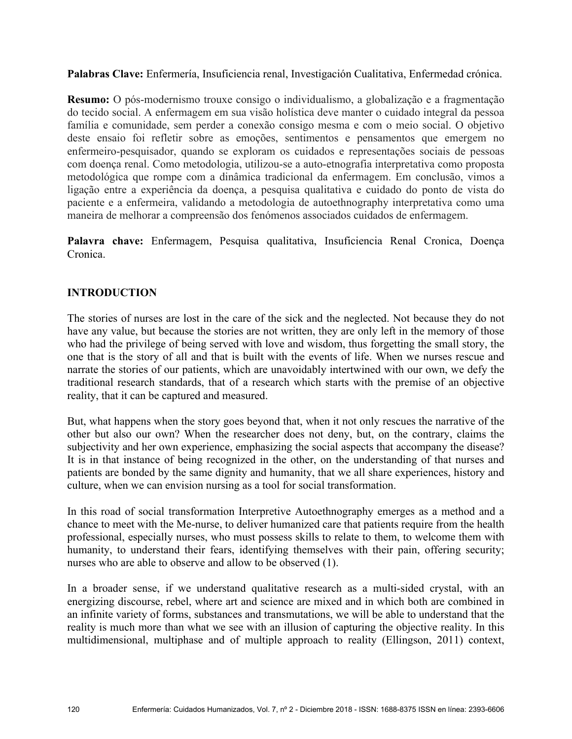**Palabras Clave:** Enfermería, Insuficiencia renal, Investigación Cualitativa, Enfermedad crónica.

**Resumo:** O pós-modernismo trouxe consigo o individualismo, a globalização e a fragmentação do tecido social. A enfermagem em sua visão holística deve manter o cuidado integral da pessoa família e comunidade, sem perder a conexão consigo mesma e com o meio social. O objetivo deste ensaio foi refletir sobre as emoções, sentimentos e pensamentos que emergem no enfermeiro-pesquisador, quando se exploram os cuidados e representações sociais de pessoas com doença renal. Como metodologia, utilizou-se a auto-etnografia interpretativa como proposta metodológica que rompe com a dinâmica tradicional da enfermagem. Em conclusão, vimos a ligação entre a experiência da doença, a pesquisa qualitativa e cuidado do ponto de vista do paciente e a enfermeira, validando a metodologia de autoethnography interpretativa como uma maneira de melhorar a compreensão dos fenómenos associados cuidados de enfermagem.

**Palavra chave:** Enfermagem, Pesquisa qualitativa, Insuficiencia Renal Cronica, Doença Cronica.

### **INTRODUCTION**

The stories of nurses are lost in the care of the sick and the neglected. Not because they do not have any value, but because the stories are not written, they are only left in the memory of those who had the privilege of being served with love and wisdom, thus forgetting the small story, the one that is the story of all and that is built with the events of life. When we nurses rescue and narrate the stories of our patients, which are unavoidably intertwined with our own, we defy the traditional research standards, that of a research which starts with the premise of an objective reality, that it can be captured and measured.

But, what happens when the story goes beyond that, when it not only rescues the narrative of the other but also our own? When the researcher does not deny, but, on the contrary, claims the subjectivity and her own experience, emphasizing the social aspects that accompany the disease? It is in that instance of being recognized in the other, on the understanding of that nurses and patients are bonded by the same dignity and humanity, that we all share experiences, history and culture, when we can envision nursing as a tool for social transformation.

In this road of social transformation Interpretive Autoethnography emerges as a method and a chance to meet with the Me-nurse, to deliver humanized care that patients require from the health professional, especially nurses, who must possess skills to relate to them, to welcome them with humanity, to understand their fears, identifying themselves with their pain, offering security; nurses who are able to observe and allow to be observed (1).

In a broader sense, if we understand qualitative research as a multi-sided crystal, with an energizing discourse, rebel, where art and science are mixed and in which both are combined in an infinite variety of forms, substances and transmutations, we will be able to understand that the reality is much more than what we see with an illusion of capturing the objective reality. In this multidimensional, multiphase and of multiple approach to reality (Ellingson, 2011) context,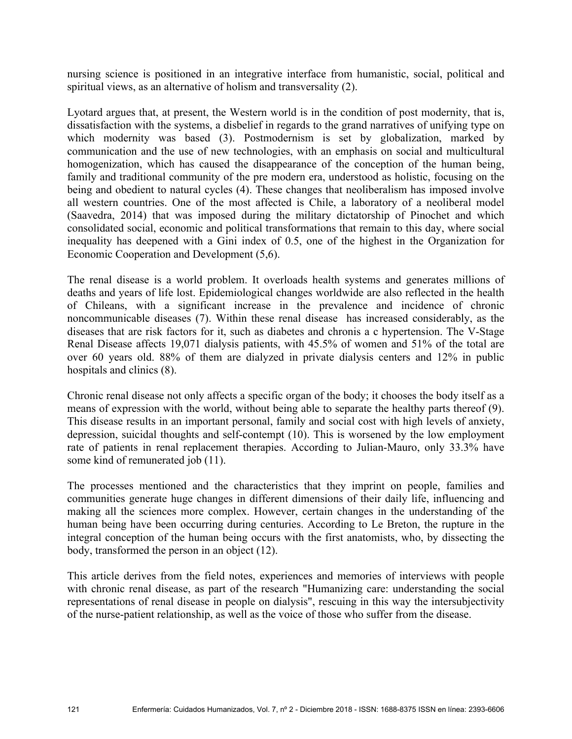nursing science is positioned in an integrative interface from humanistic, social, political and spiritual views, as an alternative of holism and transversality (2).

Lyotard argues that, at present, the Western world is in the condition of post modernity, that is, dissatisfaction with the systems, a disbelief in regards to the grand narratives of unifying type on which modernity was based (3). Postmodernism is set by globalization, marked by communication and the use of new technologies, with an emphasis on social and multicultural homogenization, which has caused the disappearance of the conception of the human being, family and traditional community of the pre modern era, understood as holistic, focusing on the being and obedient to natural cycles (4). These changes that neoliberalism has imposed involve all western countries. One of the most affected is Chile, a laboratory of a neoliberal model (Saavedra, 2014) that was imposed during the military dictatorship of Pinochet and which consolidated social, economic and political transformations that remain to this day, where social inequality has deepened with a Gini index of 0.5, one of the highest in the Organization for Economic Cooperation and Development (5,6).

The renal disease is a world problem. It overloads health systems and generates millions of deaths and years of life lost. Epidemiological changes worldwide are also reflected in the health of Chileans, with a significant increase in the prevalence and incidence of chronic noncommunicable diseases (7). Within these renal disease has increased considerably, as the diseases that are risk factors for it, such as diabetes and chronis a c hypertension. The V-Stage Renal Disease affects 19,071 dialysis patients, with 45.5% of women and 51% of the total are over 60 years old. 88% of them are dialyzed in private dialysis centers and 12% in public hospitals and clinics (8).

Chronic renal disease not only affects a specific organ of the body; it chooses the body itself as a means of expression with the world, without being able to separate the healthy parts thereof (9). This disease results in an important personal, family and social cost with high levels of anxiety, depression, suicidal thoughts and self-contempt (10). This is worsened by the low employment rate of patients in renal replacement therapies. According to Julian-Mauro, only 33.3% have some kind of remunerated job  $(11)$ .

The processes mentioned and the characteristics that they imprint on people, families and communities generate huge changes in different dimensions of their daily life, influencing and making all the sciences more complex. However, certain changes in the understanding of the human being have been occurring during centuries. According to Le Breton, the rupture in the integral conception of the human being occurs with the first anatomists, who, by dissecting the body, transformed the person in an object (12).

This article derives from the field notes, experiences and memories of interviews with people with chronic renal disease, as part of the research "Humanizing care: understanding the social representations of renal disease in people on dialysis", rescuing in this way the intersubjectivity of the nurse-patient relationship, as well as the voice of those who suffer from the disease.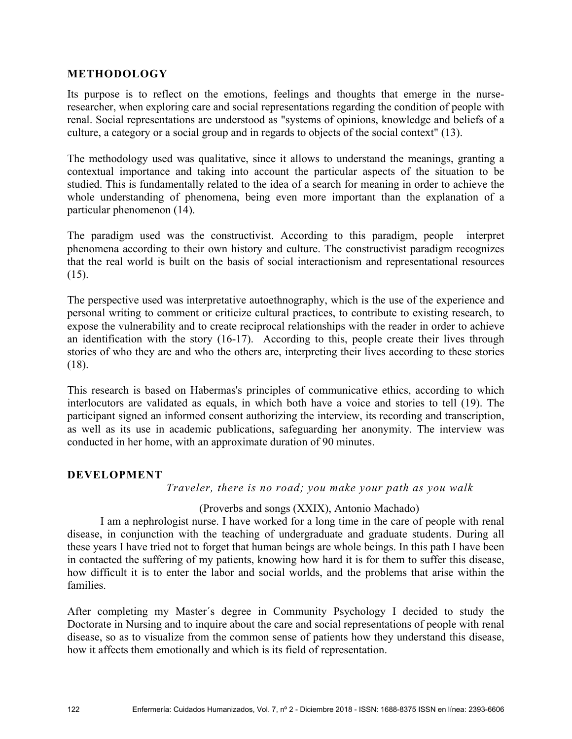#### **METHODOLOGY**

Its purpose is to reflect on the emotions, feelings and thoughts that emerge in the nurseresearcher, when exploring care and social representations regarding the condition of people with renal. Social representations are understood as "systems of opinions, knowledge and beliefs of a culture, a category or a social group and in regards to objects of the social context" (13).

The methodology used was qualitative, since it allows to understand the meanings, granting a contextual importance and taking into account the particular aspects of the situation to be studied. This is fundamentally related to the idea of a search for meaning in order to achieve the whole understanding of phenomena, being even more important than the explanation of a particular phenomenon (14).

The paradigm used was the constructivist. According to this paradigm, people interpret phenomena according to their own history and culture. The constructivist paradigm recognizes that the real world is built on the basis of social interactionism and representational resources  $(15)$ .

The perspective used was interpretative autoethnography, which is the use of the experience and personal writing to comment or criticize cultural practices, to contribute to existing research, to expose the vulnerability and to create reciprocal relationships with the reader in order to achieve an identification with the story (16-17). According to this, people create their lives through stories of who they are and who the others are, interpreting their lives according to these stories (18).

This research is based on Habermas's principles of communicative ethics, according to which interlocutors are validated as equals, in which both have a voice and stories to tell (19). The participant signed an informed consent authorizing the interview, its recording and transcription, as well as its use in academic publications, safeguarding her anonymity. The interview was conducted in her home, with an approximate duration of 90 minutes.

#### **DEVELOPMENT**

*Traveler, there is no road; you make your path as you walk*

#### (Proverbs and songs (XXIX), Antonio Machado)

I am a nephrologist nurse. I have worked for a long time in the care of people with renal disease, in conjunction with the teaching of undergraduate and graduate students. During all these years I have tried not to forget that human beings are whole beings. In this path I have been in contacted the suffering of my patients, knowing how hard it is for them to suffer this disease, how difficult it is to enter the labor and social worlds, and the problems that arise within the families.

After completing my Master´s degree in Community Psychology I decided to study the Doctorate in Nursing and to inquire about the care and social representations of people with renal disease, so as to visualize from the common sense of patients how they understand this disease, how it affects them emotionally and which is its field of representation.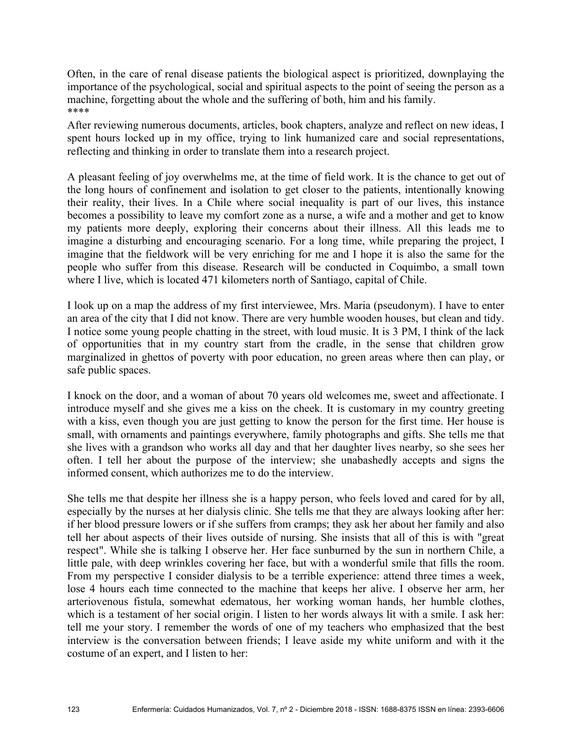Often, in the care of renal disease patients the biological aspect is prioritized, downplaying the importance of the psychological, social and spiritual aspects to the point of seeing the person as a machine, forgetting about the whole and the suffering of both, him and his family. \*\*\*\*

After reviewing numerous documents, articles, book chapters, analyze and reflect on new ideas, I spent hours locked up in my office, trying to link humanized care and social representations, reflecting and thinking in order to translate them into a research project.

A pleasant feeling of joy overwhelms me, at the time of field work. It is the chance to get out of the long hours of confinement and isolation to get closer to the patients, intentionally knowing their reality, their lives. In a Chile where social inequality is part of our lives, this instance becomes a possibility to leave my comfort zone as a nurse, a wife and a mother and get to know my patients more deeply, exploring their concerns about their illness. All this leads me to imagine a disturbing and encouraging scenario. For a long time, while preparing the project, I imagine that the fieldwork will be very enriching for me and I hope it is also the same for the people who suffer from this disease. Research will be conducted in Coquimbo, a small town where I live, which is located 471 kilometers north of Santiago, capital of Chile.

I look up on a map the address of my first interviewee, Mrs. Maria (pseudonym). I have to enter an area of the city that I did not know. There are very humble wooden houses, but clean and tidy. I notice some young people chatting in the street, with loud music. It is 3 PM, I think of the lack of opportunities that in my country start from the cradle, in the sense that children grow marginalized in ghettos of poverty with poor education, no green areas where then can play, or safe public spaces.

I knock on the door, and a woman of about 70 years old welcomes me, sweet and affectionate. I introduce myself and she gives me a kiss on the cheek. It is customary in my country greeting with a kiss, even though you are just getting to know the person for the first time. Her house is small, with ornaments and paintings everywhere, family photographs and gifts. She tells me that she lives with a grandson who works all day and that her daughter lives nearby, so she sees her often. I tell her about the purpose of the interview; she unabashedly accepts and signs the informed consent, which authorizes me to do the interview.

She tells me that despite her illness she is a happy person, who feels loved and cared for by all, especially by the nurses at her dialysis clinic. She tells me that they are always looking after her: if her blood pressure lowers or if she suffers from cramps; they ask her about her family and also tell her about aspects of their lives outside of nursing. She insists that all of this is with "great respect". While she is talking I observe her. Her face sunburned by the sun in northern Chile, a little pale, with deep wrinkles covering her face, but with a wonderful smile that fills the room. From my perspective I consider dialysis to be a terrible experience: attend three times a week, lose 4 hours each time connected to the machine that keeps her alive. I observe her arm, her arteriovenous fistula, somewhat edematous, her working woman hands, her humble clothes, which is a testament of her social origin. I listen to her words always lit with a smile. I ask her: tell me your story. I remember the words of one of my teachers who emphasized that the best interview is the conversation between friends; I leave aside my white uniform and with it the costume of an expert, and I listen to her: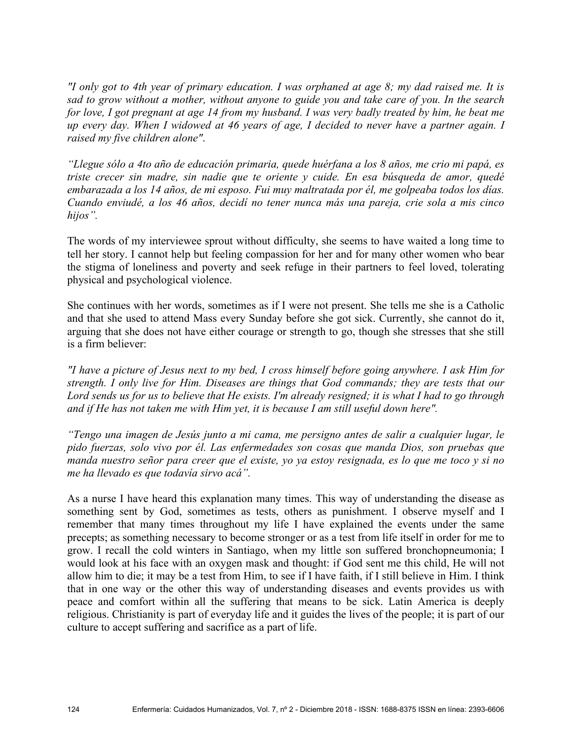*"I only got to 4th year of primary education. I was orphaned at age 8; my dad raised me. It is sad to grow without a mother, without anyone to guide you and take care of you. In the search for love, I got pregnant at age 14 from my husband. I was very badly treated by him, he beat me up every day. When I widowed at 46 years of age, I decided to never have a partner again. I raised my five children alone"*.

*"Llegue sólo a 4to año de educación primaria, quede huérfana a los 8 años, me crio mi papá, es triste crecer sin madre, sin nadie que te oriente y cuide. En esa búsqueda de amor, quedé embarazada a los 14 años, de mi esposo. Fui muy maltratada por él, me golpeaba todos los días. Cuando enviudé, a los 46 años, decidí no tener nunca más una pareja, crie sola a mis cinco hijos".*

The words of my interviewee sprout without difficulty, she seems to have waited a long time to tell her story. I cannot help but feeling compassion for her and for many other women who bear the stigma of loneliness and poverty and seek refuge in their partners to feel loved, tolerating physical and psychological violence.

She continues with her words, sometimes as if I were not present. She tells me she is a Catholic and that she used to attend Mass every Sunday before she got sick. Currently, she cannot do it, arguing that she does not have either courage or strength to go, though she stresses that she still is a firm believer:

*"I have a picture of Jesus next to my bed, I cross himself before going anywhere. I ask Him for strength. I only live for Him. Diseases are things that God commands; they are tests that our Lord sends us for us to believe that He exists. I'm already resigned; it is what I had to go through and if He has not taken me with Him yet, it is because I am still useful down here".*

*"Tengo una imagen de Jesús junto a mi cama, me persigno antes de salir a cualquier lugar, le pido fuerzas, solo vivo por él. Las enfermedades son cosas que manda Dios, son pruebas que manda nuestro señor para creer que el existe, yo ya estoy resignada, es lo que me toco y si no me ha llevado es que todavía sirvo acá".* 

As a nurse I have heard this explanation many times. This way of understanding the disease as something sent by God, sometimes as tests, others as punishment. I observe myself and I remember that many times throughout my life I have explained the events under the same precepts; as something necessary to become stronger or as a test from life itself in order for me to grow. I recall the cold winters in Santiago, when my little son suffered bronchopneumonia; I would look at his face with an oxygen mask and thought: if God sent me this child, He will not allow him to die; it may be a test from Him, to see if I have faith, if I still believe in Him. I think that in one way or the other this way of understanding diseases and events provides us with peace and comfort within all the suffering that means to be sick. Latin America is deeply religious. Christianity is part of everyday life and it guides the lives of the people; it is part of our culture to accept suffering and sacrifice as a part of life.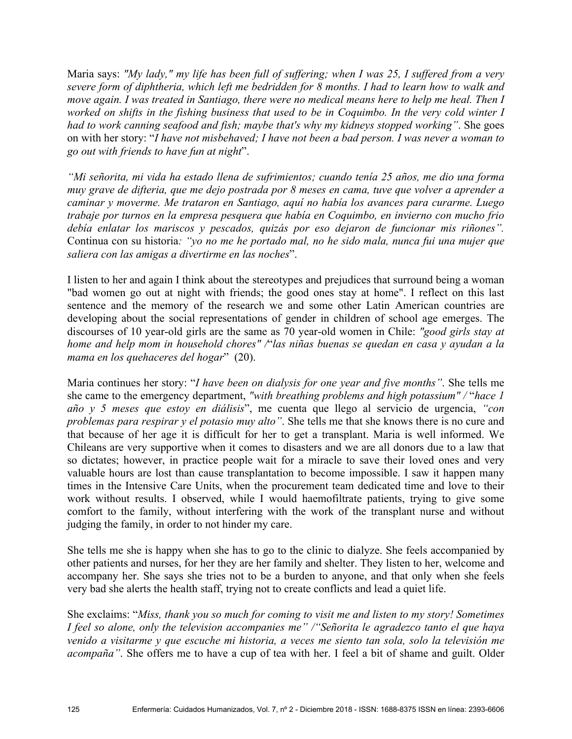Maria says: *"My lady," my life has been full of suffering; when I was 25, I suffered from a very severe form of diphtheria, which left me bedridden for 8 months. I had to learn how to walk and move again. I was treated in Santiago, there were no medical means here to help me heal. Then I worked on shifts in the fishing business that used to be in Coquimbo. In the very cold winter I had to work canning seafood and fish; maybe that's why my kidneys stopped working"*. She goes on with her story: "*I have not misbehaved; I have not been a bad person. I was never a woman to go out with friends to have fun at night*".

*"Mi señorita, mi vida ha estado llena de sufrimientos; cuando tenía 25 años, me dio una forma muy grave de difteria, que me dejo postrada por 8 meses en cama, tuve que volver a aprender a caminar y moverme. Me trataron en Santiago, aquí no había los avances para curarme. Luego trabaje por turnos en la empresa pesquera que había en Coquimbo, en invierno con mucho frio debía enlatar los mariscos y pescados, quizás por eso dejaron de funcionar mis riñones".*  Continua con su historia*: "yo no me he portado mal, no he sido mala, nunca fui una mujer que saliera con las amigas a divertirme en las noches*".

I listen to her and again I think about the stereotypes and prejudices that surround being a woman "bad women go out at night with friends; the good ones stay at home". I reflect on this last sentence and the memory of the research we and some other Latin American countries are developing about the social representations of gender in children of school age emerges. The discourses of 10 year-old girls are the same as 70 year-old women in Chile: *"good girls stay at home and help mom in household chores" /*"*las niñas buenas se quedan en casa y ayudan a la mama en los quehaceres del hogar*" (20).

Maria continues her story: "*I have been on dialysis for one year and five months"*. She tells me she came to the emergency department, *"with breathing problems and high potassium" /* "*hace 1 año y 5 meses que estoy en diálisis*", me cuenta que llego al servicio de urgencia, *"con problemas para respirar y el potasio muy alto"*. She tells me that she knows there is no cure and that because of her age it is difficult for her to get a transplant. Maria is well informed. We Chileans are very supportive when it comes to disasters and we are all donors due to a law that so dictates; however, in practice people wait for a miracle to save their loved ones and very valuable hours are lost than cause transplantation to become impossible. I saw it happen many times in the Intensive Care Units, when the procurement team dedicated time and love to their work without results. I observed, while I would haemofiltrate patients, trying to give some comfort to the family, without interfering with the work of the transplant nurse and without judging the family, in order to not hinder my care.

She tells me she is happy when she has to go to the clinic to dialyze. She feels accompanied by other patients and nurses, for her they are her family and shelter. They listen to her, welcome and accompany her. She says she tries not to be a burden to anyone, and that only when she feels very bad she alerts the health staff, trying not to create conflicts and lead a quiet life.

She exclaims: "*Miss, thank you so much for coming to visit me and listen to my story! Sometimes I feel so alone, only the television accompanies me" /"Señorita le agradezco tanto el que haya venido a visitarme y que escuche mi historia, a veces me siento tan sola, solo la televisión me acompaña"*. She offers me to have a cup of tea with her. I feel a bit of shame and guilt. Older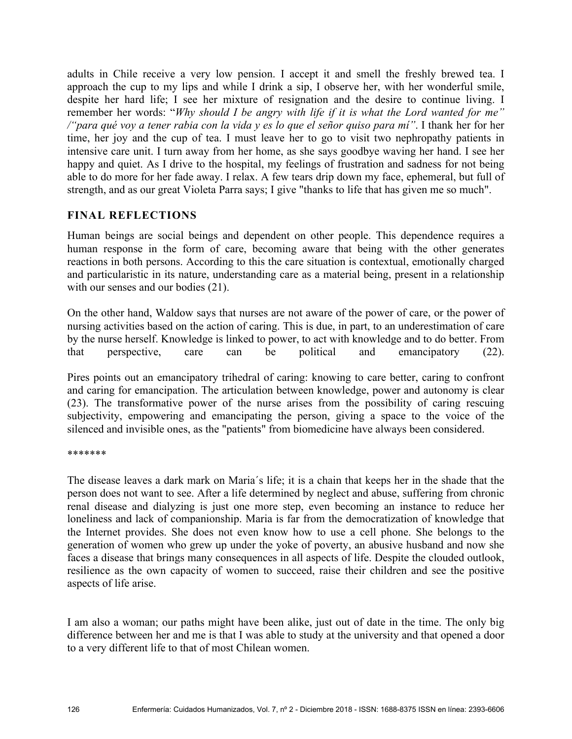adults in Chile receive a very low pension. I accept it and smell the freshly brewed tea. I approach the cup to my lips and while I drink a sip, I observe her, with her wonderful smile, despite her hard life; I see her mixture of resignation and the desire to continue living. I remember her words: "*Why should I be angry with life if it is what the Lord wanted for me" /"para qué voy a tener rabia con la vida y es lo que el señor quiso para mí"*. I thank her for her time, her joy and the cup of tea. I must leave her to go to visit two nephropathy patients in intensive care unit. I turn away from her home, as she says goodbye waving her hand. I see her happy and quiet. As I drive to the hospital, my feelings of frustration and sadness for not being able to do more for her fade away. I relax. A few tears drip down my face, ephemeral, but full of strength, and as our great Violeta Parra says; I give "thanks to life that has given me so much".

#### **FINAL REFLECTIONS**

Human beings are social beings and dependent on other people. This dependence requires a human response in the form of care, becoming aware that being with the other generates reactions in both persons. According to this the care situation is contextual, emotionally charged and particularistic in its nature, understanding care as a material being, present in a relationship with our senses and our bodies  $(21)$ .

On the other hand, Waldow says that nurses are not aware of the power of care, or the power of nursing activities based on the action of caring. This is due, in part, to an underestimation of care by the nurse herself. Knowledge is linked to power, to act with knowledge and to do better. From that perspective, care can be political and emancipatory (22).

Pires points out an emancipatory trihedral of caring: knowing to care better, caring to confront and caring for emancipation. The articulation between knowledge, power and autonomy is clear (23). The transformative power of the nurse arises from the possibility of caring rescuing subjectivity, empowering and emancipating the person, giving a space to the voice of the silenced and invisible ones, as the "patients" from biomedicine have always been considered.

#### \*\*\*\*\*\*\*

The disease leaves a dark mark on Maria´s life; it is a chain that keeps her in the shade that the person does not want to see. After a life determined by neglect and abuse, suffering from chronic renal disease and dialyzing is just one more step, even becoming an instance to reduce her loneliness and lack of companionship. Maria is far from the democratization of knowledge that the Internet provides. She does not even know how to use a cell phone. She belongs to the generation of women who grew up under the yoke of poverty, an abusive husband and now she faces a disease that brings many consequences in all aspects of life. Despite the clouded outlook, resilience as the own capacity of women to succeed, raise their children and see the positive aspects of life arise.

I am also a woman; our paths might have been alike, just out of date in the time. The only big difference between her and me is that I was able to study at the university and that opened a door to a very different life to that of most Chilean women.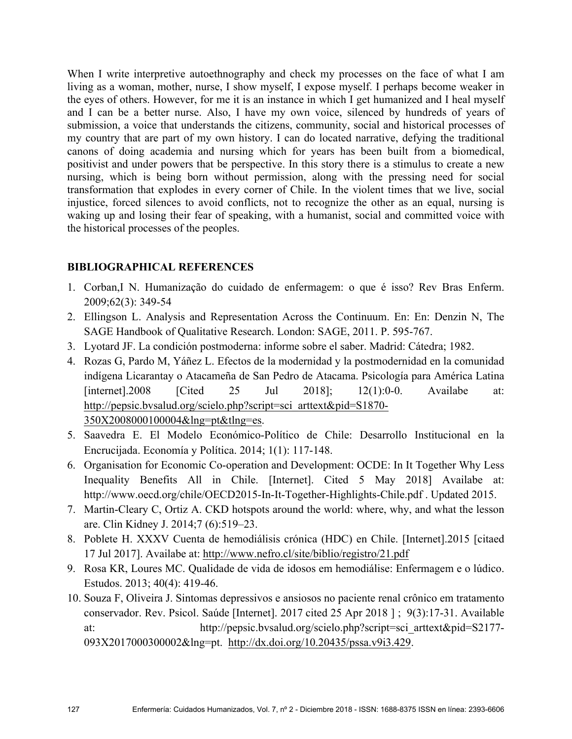When I write interpretive autoethnography and check my processes on the face of what I am living as a woman, mother, nurse, I show myself, I expose myself. I perhaps become weaker in the eyes of others. However, for me it is an instance in which I get humanized and I heal myself and I can be a better nurse. Also, I have my own voice, silenced by hundreds of years of submission, a voice that understands the citizens, community, social and historical processes of my country that are part of my own history. I can do located narrative, defying the traditional canons of doing academia and nursing which for years has been built from a biomedical, positivist and under powers that be perspective. In this story there is a stimulus to create a new nursing, which is being born without permission, along with the pressing need for social transformation that explodes in every corner of Chile. In the violent times that we live, social injustice, forced silences to avoid conflicts, not to recognize the other as an equal, nursing is waking up and losing their fear of speaking, with a humanist, social and committed voice with the historical processes of the peoples.

### **BIBLIOGRAPHICAL REFERENCES**

- 1. Corban,I N. Humanização do cuidado de enfermagem: o que é isso? Rev Bras Enferm. 2009;62(3): 349-54
- 2. Ellingson L. Analysis and Representation Across the Continuum. En: En: Denzin N, The SAGE Handbook of Qualitative Research. London: SAGE, 2011. P. 595-767.
- 3. Lyotard JF. La condición postmoderna: informe sobre el saber. Madrid: Cátedra; 1982.
- 4. Rozas G, Pardo M, Yáñez L. Efectos de la modernidad y la postmodernidad en la comunidad indígena Licarantay o Atacameña de San Pedro de Atacama. Psicología para América Latina [internet].2008 [Cited 25 Jul 2018]; 12(1):0-0. Availabe at: http://pepsic.bvsalud.org/scielo.php?script=sci\_arttext&pid=S1870- 350X2008000100004&lng=pt&tlng=es.
- 5. Saavedra E. El Modelo Económico-Político de Chile: Desarrollo Institucional en la Encrucijada. Economía y Política. 2014; 1(1): 117-148.
- 6. Organisation for Economic Co-operation and Development: OCDE: In It Together Why Less Inequality Benefits All in Chile. [Internet]. Cited 5 May 2018] Availabe at: http://www.oecd.org/chile/OECD2015-In-It-Together-Highlights-Chile.pdf . Updated 2015.
- 7. Martin-Cleary C, Ortiz A. CKD hotspots around the world: where, why, and what the lesson are. Clin Kidney J. 2014;7 (6):519–23.
- 8. Poblete H. XXXV Cuenta de hemodiálisis crónica (HDC) en Chile. [Internet].2015 [citaed 17 Jul 2017]. Availabe at: http://www.nefro.cl/site/biblio/registro/21.pdf
- 9. Rosa KR, Loures MC. Qualidade de vida de idosos em hemodiálise: Enfermagem e o lúdico. Estudos. 2013; 40(4): 419-46.
- 10. Souza F, Oliveira J. Sintomas depressivos e ansiosos no paciente renal crônico em tratamento conservador. Rev. Psicol. Saúde [Internet]. 2017 cited 25 Apr 2018 ] ; 9(3):17-31. Available at: http://pepsic.bvsalud.org/scielo.php?script=sci\_arttext&pid=S2177- 093X2017000300002&lng=pt. http://dx.doi.org/10.20435/pssa.v9i3.429.